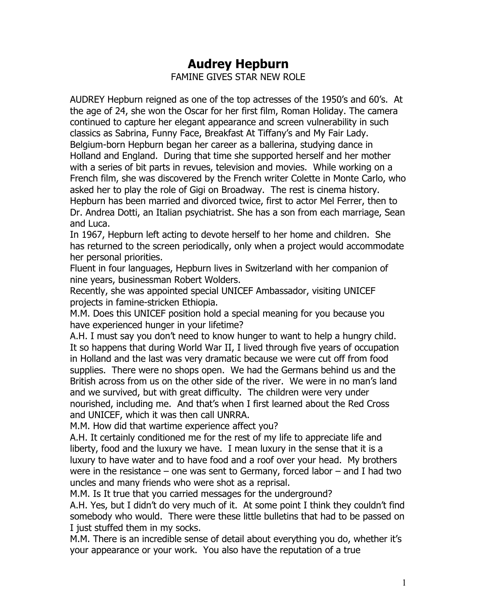## **Audrey Hepburn** FAMINE GIVES STAR NEW ROLE

AUDREY Hepburn reigned as one of the top actresses of the 1950's and 60's. At the age of 24, she won the Oscar for her first film, Roman Holiday. The camera continued to capture her elegant appearance and screen vulnerability in such classics as Sabrina, Funny Face, Breakfast At Tiffany's and My Fair Lady. Belgium-born Hepburn began her career as a ballerina, studying dance in Holland and England. During that time she supported herself and her mother with a series of bit parts in revues, television and movies. While working on a French film, she was discovered by the French writer Colette in Monte Carlo, who asked her to play the role of Gigi on Broadway. The rest is cinema history. Hepburn has been married and divorced twice, first to actor Mel Ferrer, then to Dr. Andrea Dotti, an Italian psychiatrist. She has a son from each marriage, Sean and Luca.

In 1967, Hepburn left acting to devote herself to her home and children. She has returned to the screen periodically, only when a project would accommodate her personal priorities.

Fluent in four languages, Hepburn lives in Switzerland with her companion of nine years, businessman Robert Wolders.

Recently, she was appointed special UNICEF Ambassador, visiting UNICEF projects in famine-stricken Ethiopia.

M.M. Does this UNICEF position hold a special meaning for you because you have experienced hunger in your lifetime?

A.H. I must say you don't need to know hunger to want to help a hungry child. It so happens that during World War II, I lived through five years of occupation in Holland and the last was very dramatic because we were cut off from food supplies. There were no shops open. We had the Germans behind us and the British across from us on the other side of the river. We were in no man's land and we survived, but with great difficulty. The children were very under nourished, including me. And that's when I first learned about the Red Cross and UNICEF, which it was then call UNRRA.

M.M. How did that wartime experience affect you?

A.H. It certainly conditioned me for the rest of my life to appreciate life and liberty, food and the luxury we have. I mean luxury in the sense that it is a luxury to have water and to have food and a roof over your head. My brothers were in the resistance – one was sent to Germany, forced labor – and I had two uncles and many friends who were shot as a reprisal.

M.M. Is It true that you carried messages for the underground?

A.H. Yes, but I didn't do very much of it. At some point I think they couldn't find somebody who would. There were these little bulletins that had to be passed on I just stuffed them in my socks.

M.M. There is an incredible sense of detail about everything you do, whether it's your appearance or your work. You also have the reputation of a true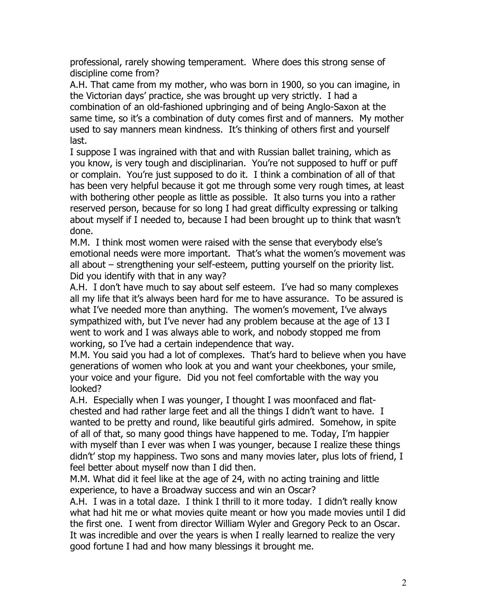professional, rarely showing temperament. Where does this strong sense of discipline come from?

A.H. That came from my mother, who was born in 1900, so you can imagine, in the Victorian days' practice, she was brought up very strictly. I had a combination of an old-fashioned upbringing and of being Anglo-Saxon at the same time, so it's a combination of duty comes first and of manners. My mother used to say manners mean kindness. It's thinking of others first and yourself last.

I suppose I was ingrained with that and with Russian ballet training, which as you know, is very tough and disciplinarian. You're not supposed to huff or puff or complain. You're just supposed to do it. I think a combination of all of that has been very helpful because it got me through some very rough times, at least with bothering other people as little as possible. It also turns you into a rather reserved person, because for so long I had great difficulty expressing or talking about myself if I needed to, because I had been brought up to think that wasn't done.

M.M. I think most women were raised with the sense that everybody else's emotional needs were more important. That's what the women's movement was all about – strengthening your self-esteem, putting yourself on the priority list. Did you identify with that in any way?

A.H. I don't have much to say about self esteem. I've had so many complexes all my life that it's always been hard for me to have assurance. To be assured is what I've needed more than anything. The women's movement, I've always sympathized with, but I've never had any problem because at the age of 13 I went to work and I was always able to work, and nobody stopped me from working, so I've had a certain independence that way.

M.M. You said you had a lot of complexes. That's hard to believe when you have generations of women who look at you and want your cheekbones, your smile, your voice and your figure. Did you not feel comfortable with the way you looked?

A.H. Especially when I was younger, I thought I was moonfaced and flatchested and had rather large feet and all the things I didn't want to have. I wanted to be pretty and round, like beautiful girls admired. Somehow, in spite of all of that, so many good things have happened to me. Today, I'm happier with myself than I ever was when I was younger, because I realize these things didn't' stop my happiness. Two sons and many movies later, plus lots of friend, I feel better about myself now than I did then.

M.M. What did it feel like at the age of 24, with no acting training and little experience, to have a Broadway success and win an Oscar?

A.H. I was in a total daze. I think I thrill to it more today. I didn't really know what had hit me or what movies quite meant or how you made movies until I did the first one. I went from director William Wyler and Gregory Peck to an Oscar. It was incredible and over the years is when I really learned to realize the very good fortune I had and how many blessings it brought me.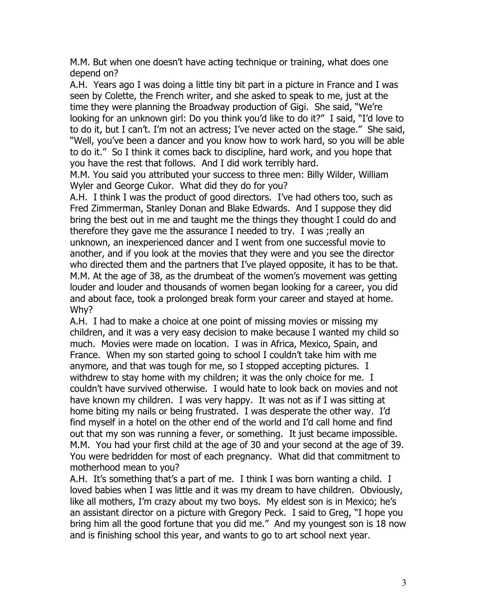M.M. But when one doesn't have acting technique or training, what does one depend on?

A.H. Years ago I was doing a little tiny bit part in a picture in France and I was seen by Colette, the French writer, and she asked to speak to me, just at the time they were planning the Broadway production of Gigi. She said, "We're looking for an unknown girl: Do you think you'd like to do it?" I said, "I'd love to to do it, but I can't. I'm not an actress; I've never acted on the stage." She said, "Well, you've been a dancer and you know how to work hard, so you will be able to do it." So I think it comes back to discipline, hard work, and you hope that you have the rest that follows. And I did work terribly hard.

M.M. You said you attributed your success to three men: Billy Wilder, William Wyler and George Cukor. What did they do for you?

A.H. I think I was the product of good directors. I've had others too, such as Fred Zimmerman, Stanley Donan and Blake Edwards. And I suppose they did bring the best out in me and taught me the things they thought I could do and therefore they gave me the assurance I needed to try. I was ;really an unknown, an inexperienced dancer and I went from one successful movie to another, and if you look at the movies that they were and you see the director who directed them and the partners that I've played opposite, it has to be that. M.M. At the age of 38, as the drumbeat of the women's movement was getting louder and louder and thousands of women began looking for a career, you did and about face, took a prolonged break form your career and stayed at home. Why?

A.H. I had to make a choice at one point of missing movies or missing my children, and it was a very easy decision to make because I wanted my child so much. Movies were made on location. I was in Africa, Mexico, Spain, and France. When my son started going to school I couldn't take him with me anymore, and that was tough for me, so I stopped accepting pictures. I withdrew to stay home with my children; it was the only choice for me. I couldn't have survived otherwise. I would hate to look back on movies and not have known my children. I was very happy. It was not as if I was sitting at home biting my nails or being frustrated. I was desperate the other way. I'd find myself in a hotel on the other end of the world and I'd call home and find out that my son was running a fever, or something. It just became impossible. M.M. You had your first child at the age of 30 and your second at the age of 39. You were bedridden for most of each pregnancy. What did that commitment to motherhood mean to you?

A.H. It's something that's a part of me. I think I was born wanting a child. I loved babies when I was little and it was my dream to have children. Obviously, like all mothers, I'm crazy about my two boys. My eldest son is in Mexico; he's an assistant director on a picture with Gregory Peck. I said to Greg, "I hope you bring him all the good fortune that you did me." And my youngest son is 18 now and is finishing school this year, and wants to go to art school next year.